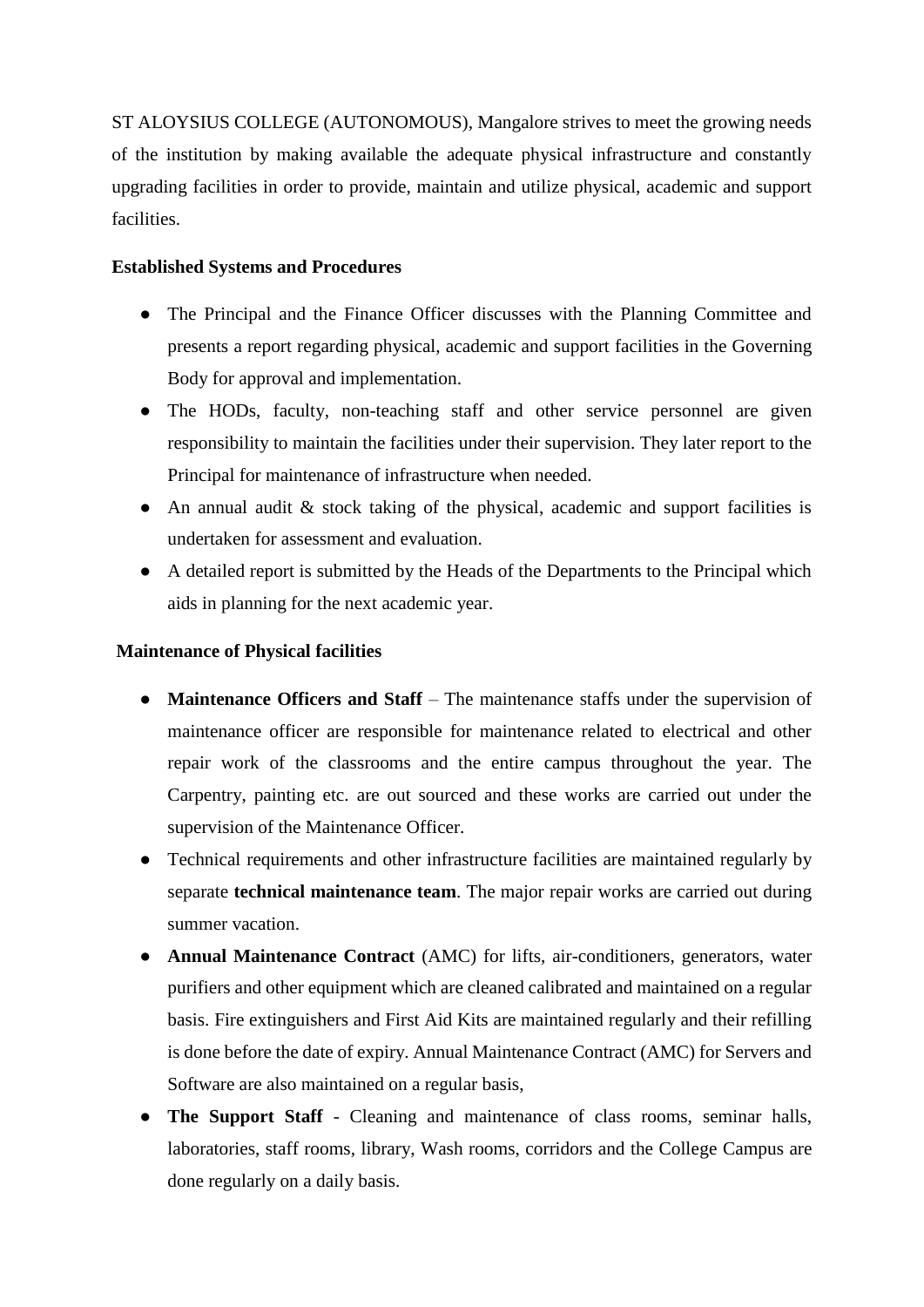ST ALOYSIUS COLLEGE (AUTONOMOUS), Mangalore strives to meet the growing needs of the institution by making available the adequate physical infrastructure and constantly upgrading facilities in order to provide, maintain and utilize physical, academic and support facilities.

## **Established Systems and Procedures**

- The Principal and the Finance Officer discusses with the Planning Committee and presents a report regarding physical, academic and support facilities in the Governing Body for approval and implementation.
- The HODs, faculty, non-teaching staff and other service personnel are given responsibility to maintain the facilities under their supervision. They later report to the Principal for maintenance of infrastructure when needed.
- $\bullet$  An annual audit & stock taking of the physical, academic and support facilities is undertaken for assessment and evaluation.
- A detailed report is submitted by the Heads of the Departments to the Principal which aids in planning for the next academic year.

## **Maintenance of Physical facilities**

- **Maintenance Officers and Staff** The maintenance staffs under the supervision of maintenance officer are responsible for maintenance related to electrical and other repair work of the classrooms and the entire campus throughout the year. The Carpentry, painting etc. are out sourced and these works are carried out under the supervision of the Maintenance Officer.
- Technical requirements and other infrastructure facilities are maintained regularly by separate **technical maintenance team**. The major repair works are carried out during summer vacation.
- **Annual Maintenance Contract** (AMC) for lifts, air-conditioners, generators, water purifiers and other equipment which are cleaned calibrated and maintained on a regular basis. Fire extinguishers and First Aid Kits are maintained regularly and their refilling is done before the date of expiry. Annual Maintenance Contract (AMC) for Servers and Software are also maintained on a regular basis,
- **The Support Staff** Cleaning and maintenance of class rooms, seminar halls, laboratories, staff rooms, library, Wash rooms, corridors and the College Campus are done regularly on a daily basis.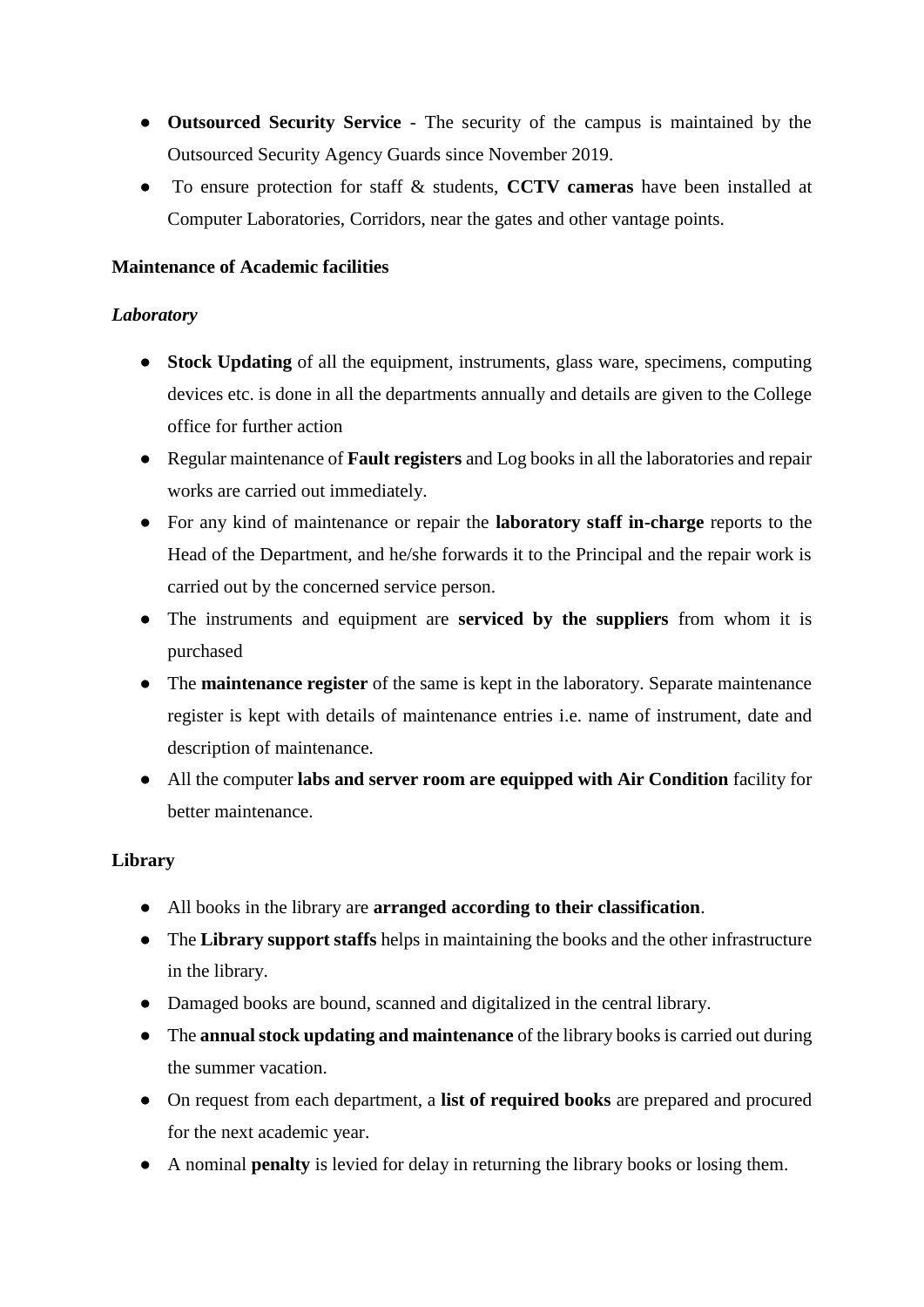- **Outsourced Security Service** The security of the campus is maintained by the Outsourced Security Agency Guards since November 2019.
- To ensure protection for staff & students, **CCTV cameras** have been installed at Computer Laboratories, Corridors, near the gates and other vantage points.

### **Maintenance of Academic facilities**

#### *Laboratory*

- **Stock Updating** of all the equipment, instruments, glass ware, specimens, computing devices etc. is done in all the departments annually and details are given to the College office for further action
- Regular maintenance of **Fault registers** and Log books in all the laboratories and repair works are carried out immediately.
- For any kind of maintenance or repair the **laboratory staff in-charge** reports to the Head of the Department, and he/she forwards it to the Principal and the repair work is carried out by the concerned service person.
- The instruments and equipment are **serviced by the suppliers** from whom it is purchased
- The **maintenance register** of the same is kept in the laboratory. Separate maintenance register is kept with details of maintenance entries i.e. name of instrument, date and description of maintenance.
- All the computer **labs and server room are equipped with Air Condition** facility for better maintenance.

### **Library**

- All books in the library are **arranged according to their classification**.
- The **Library support staffs** helps in maintaining the books and the other infrastructure in the library.
- Damaged books are bound, scanned and digitalized in the central library.
- The **annual stock updating and maintenance** of the library books is carried out during the summer vacation.
- On request from each department, a **list of required books** are prepared and procured for the next academic year.
- A nominal **penalty** is levied for delay in returning the library books or losing them.